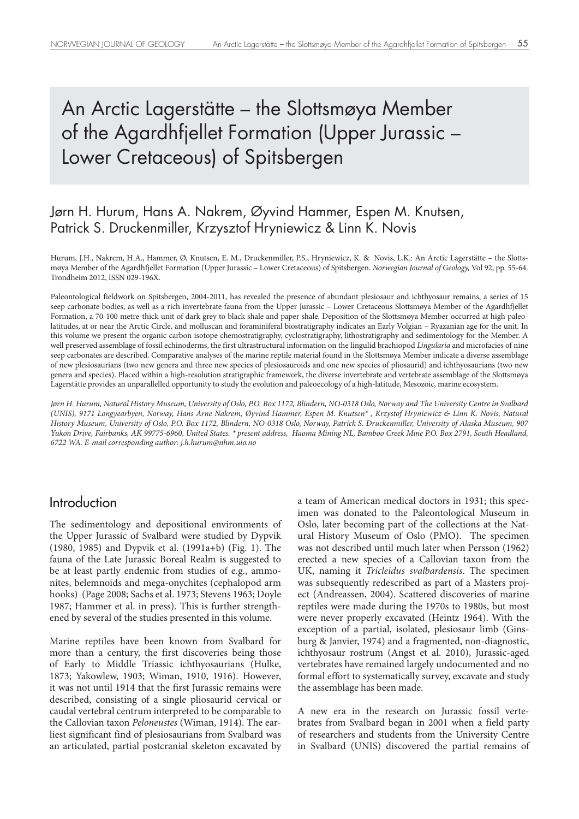# An Arctic Lagerstätte – the Slottsmøya Member of the Agardhfjellet Formation (Upper Jurassic – Lower Cretaceous) of Spitsbergen

## Jørn H. Hurum, Hans A. Nakrem, Øyvind Hammer, Espen M. Knutsen, Patrick S. Druckenmiller, Krzysztof Hryniewicz & Linn K. Novis

Hurum, J.H., Nakrem, H.A., Hammer, Ø, Knutsen, E. M., Druckenmiller, P.S., Hryniewicz, K. & Novis, L.K.: An Arctic Lagerstätte – the Slottsmøya Member of the Agardhfjellet Formation (Upper Jurassic – Lower Cretaceous) of Spitsbergen. *Norwegian Journal of Geology,* Vol 92, pp. 55-64. Trondheim 2012, ISSN 029-196X.

Paleontological fieldwork on Spitsbergen, 2004-2011, has revealed the presence of abundant plesiosaur and ichthyosaur remains, a series of 15 seep carbonate bodies, as well as a rich invertebrate fauna from the Upper Jurassic – Lower Cretaceous Slottsmøya Member of the Agardhfjellet Formation, a 70-100 metre-thick unit of dark grey to black shale and paper shale. Deposition of the Slottsmøya Member occurred at high paleolatitudes, at or near the Arctic Circle, and molluscan and foraminiferal biostratigraphy indicates an Early Volgian – Ryazanian age for the unit. In this volume we present the organic carbon isotope chemostratigraphy, cyclostratigraphy, lithostratigraphy and sedimentology for the Member. A well preserved assemblage of fossil echinoderms, the first ultrastructural information on the lingulid brachiopod *Lingularia* and microfacies of nine seep carbonates are described. Comparative analyses of the marine reptile material found in the Slottsmøya Member indicate a diverse assemblage of new plesiosaurians (two new genera and three new species of plesiosauroids and one new species of pliosaurid) and ichthyosaurians (two new genera and species). Placed within a high-resolution stratigraphic framework, the diverse invertebrate and vertebrate assemblage of the Slottsmøya Lagerstätte provides an unparallelled opportunity to study the evolution and paleoecology of a high-latitude, Mesozoic, marine ecosystem.

*Jørn H. Hurum, Natural History Museum, University of Oslo, P.O. Box 1172, Blindern, NO-0318 Oslo, Norway and The University Centre in Svalbard (UNIS), 9171 Longyearbyen, Norway, Hans Arne Nakrem, Øyvind Hammer, Espen M. Knutsen\* , Krzystof Hryniewicz & Linn K. Novis, Natural History Museum, University of Oslo, P.O. Box 1172, Blindern, NO-0318 Oslo, Norway, Patrick S. Druckenmiller, University of Alaska Museum, 907 Yukon Drive, Fairbanks, AK 99775-6960, United States. \* present address, Haoma Mining NL, Bamboo Creek Mine P.O. Box 2791, South Headland, 6722 WA. E-mail corresponding author: j.h.hurum@nhm.uio.no*

### **Introduction**

The sedimentology and depositional environments of the Upper Jurassic of Svalbard were studied by Dypvik (1980, 1985) and Dypvik et al. (1991a+b) (Fig. 1). The fauna of the Late Jurassic Boreal Realm is suggested to be at least partly endemic from studies of e.g., ammonites, belemnoids and mega-onychites (cephalopod arm hooks) (Page 2008; Sachs et al. 1973; Stevens 1963; Doyle 1987; Hammer et al. in press). This is further strengthened by several of the studies presented in this volume.

Marine reptiles have been known from Svalbard for more than a century, the first discoveries being those of Early to Middle Triassic ichthyosaurians (Hulke, 1873; Yakowlew, 1903; Wiman, 1910, 1916). However, it was not until 1914 that the first Jurassic remains were described, consisting of a single pliosaurid cervical or caudal vertebral centrum interpreted to be comparable to the Callovian taxon *Peloneustes* (Wiman, 1914). The earliest significant find of plesiosaurians from Svalbard was an articulated, partial postcranial skeleton excavated by a team of American medical doctors in 1931; this specimen was donated to the Paleontological Museum in Oslo, later becoming part of the collections at the Natural History Museum of Oslo (PMO). The specimen was not described until much later when Persson (1962) erected a new species of a Callovian taxon from the UK, naming it *Tricleidus svalbardensis*. The specimen was subsequently redescribed as part of a Masters project (Andreassen, 2004). Scattered discoveries of marine reptiles were made during the 1970s to 1980s, but most were never properly excavated (Heintz 1964). With the exception of a partial, isolated, plesiosaur limb (Ginsburg & Janvier, 1974) and a fragmented, non-diagnostic, ichthyosaur rostrum (Angst et al. 2010), Jurassic-aged vertebrates have remained largely undocumented and no formal effort to systematically survey, excavate and study the assemblage has been made.

A new era in the research on Jurassic fossil vertebrates from Svalbard began in 2001 when a field party of researchers and students from the University Centre in Svalbard (UNIS) discovered the partial remains of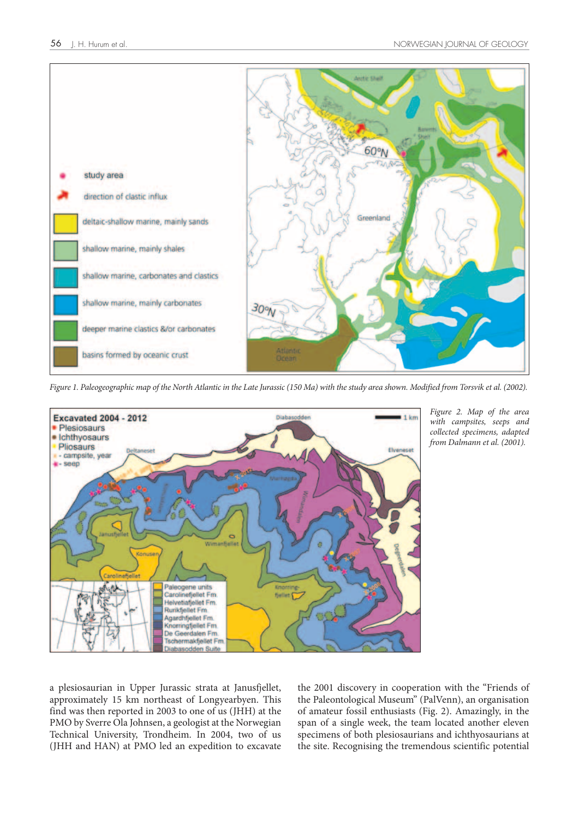

*Figure 1. Paleogeographic map of the North Atlantic in the Late Jurassic (150 Ma) with the study area shown. Modified from Torsvik et al. (2002).*



*Figure 2. Map of the area with campsites, seeps and collected specimens, adapted from Dalmann et al. (2001).*

a plesiosaurian in Upper Jurassic strata at Janusfjellet, approximately 15 km northeast of Longyearbyen. This find was then reported in 2003 to one of us (JHH) at the PMO by Sverre Ola Johnsen, a geologist at the Norwegian Technical University, Trondheim. In 2004, two of us (JHH and HAN) at PMO led an expedition to excavate

the 2001 discovery in cooperation with the "Friends of the Paleontological Museum" (PalVenn), an organisation of amateur fossil enthusiasts (Fig. 2). Amazingly, in the span of a single week, the team located another eleven specimens of both plesiosaurians and ichthyosaurians at the site. Recognising the tremendous scientific potential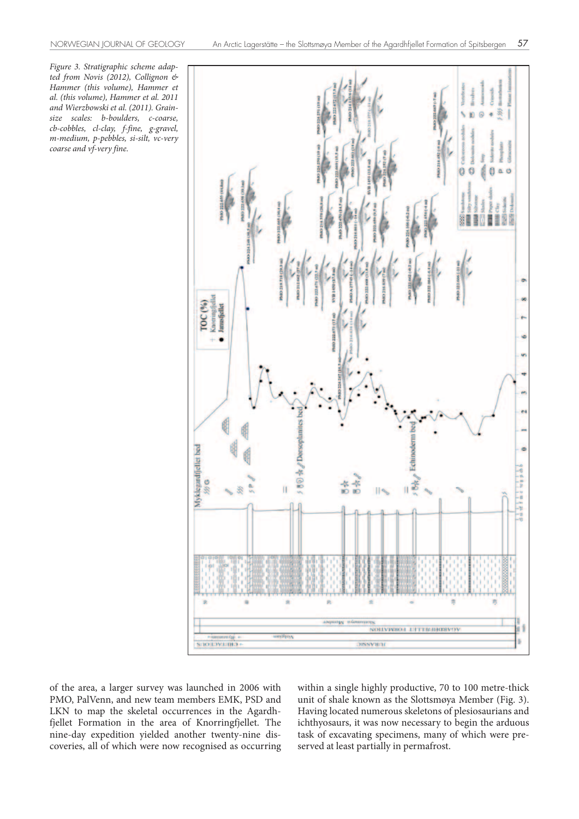*Figure 3. Stratigraphic scheme adapted from Novis (2012), Collignon & Hammer (this volume), Hammer et al. (this volume), Hammer et al. 2011 and Wierzbowski et al. (2011). Grainsize scales: b-boulders, c-coarse, cb-cobbles, cl-clay, f-fine, g-gravel, m-medium, p-pebbles, si-silt, vc-very coarse and vf-very fine.*



of the area, a larger survey was launched in 2006 with PMO, PalVenn, and new team members EMK, PSD and LKN to map the skeletal occurrences in the Agardhfjellet Formation in the area of Knorringfjellet. The nine-day expedition yielded another twenty-nine discoveries, all of which were now recognised as occurring within a single highly productive, 70 to 100 metre-thick unit of shale known as the Slottsmøya Member (Fig. 3). Having located numerous skeletons of plesiosaurians and ichthyosaurs, it was now necessary to begin the arduous task of excavating specimens, many of which were preserved at least partially in permafrost.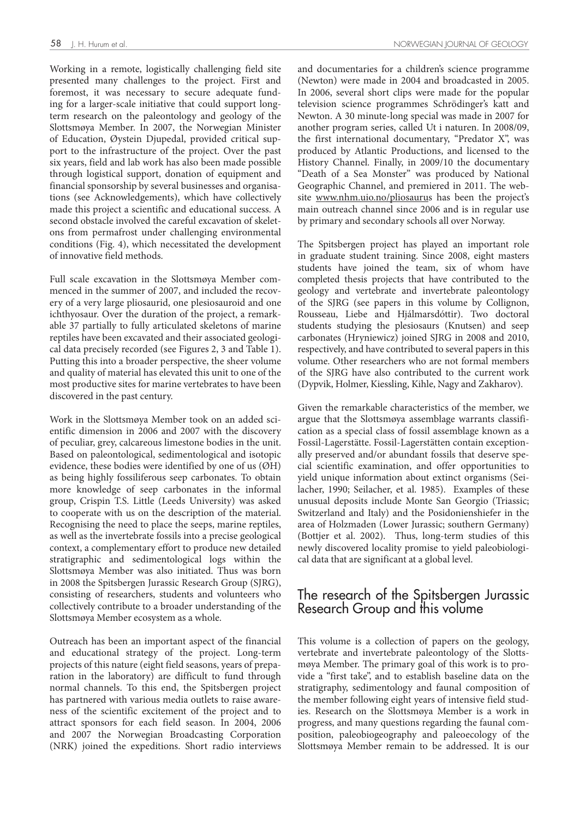Working in a remote, logistically challenging field site presented many challenges to the project. First and foremost, it was necessary to secure adequate funding for a larger-scale initiative that could support longterm research on the paleontology and geology of the Slottsmøya Member. In 2007, the Norwegian Minister of Education, Øystein Djupedal, provided critical support to the infrastructure of the project. Over the past six years, field and lab work has also been made possible through logistical support, donation of equipment and financial sponsorship by several businesses and organisations (see Acknowledgements), which have collectively made this project a scientific and educational success. A second obstacle involved the careful excavation of skeletons from permafrost under challenging environmental conditions (Fig. 4), which necessitated the development of innovative field methods.

Full scale excavation in the Slottsmøya Member commenced in the summer of 2007, and included the recovery of a very large pliosaurid, one plesiosauroid and one ichthyosaur. Over the duration of the project, a remarkable 37 partially to fully articulated skeletons of marine reptiles have been excavated and their associated geological data precisely recorded (see Figures 2, 3 and Table 1). Putting this into a broader perspective, the sheer volume and quality of material has elevated this unit to one of the most productive sites for marine vertebrates to have been discovered in the past century.

Work in the Slottsmøya Member took on an added scientific dimension in 2006 and 2007 with the discovery of peculiar, grey, calcareous limestone bodies in the unit. Based on paleontological, sedimentological and isotopic evidence, these bodies were identified by one of us (ØH) as being highly fossiliferous seep carbonates. To obtain more knowledge of seep carbonates in the informal group, Crispin T.S. Little (Leeds University) was asked to cooperate with us on the description of the material. Recognising the need to place the seeps, marine reptiles, as well as the invertebrate fossils into a precise geological context, a complementary effort to produce new detailed stratigraphic and sedimentological logs within the Slottsmøya Member was also initiated. Thus was born in 2008 the Spitsbergen Jurassic Research Group (SJRG), consisting of researchers, students and volunteers who collectively contribute to a broader understanding of the Slottsmøya Member ecosystem as a whole.

Outreach has been an important aspect of the financial and educational strategy of the project. Long-term projects of this nature (eight field seasons, years of preparation in the laboratory) are difficult to fund through normal channels. To this end, the Spitsbergen project has partnered with various media outlets to raise awareness of the scientific excitement of the project and to attract sponsors for each field season. In 2004, 2006 and 2007 the Norwegian Broadcasting Corporation (NRK) joined the expeditions. Short radio interviews

and documentaries for a children's science programme (Newton) were made in 2004 and broadcasted in 2005. In 2006, several short clips were made for the popular television science programmes Schrödinger's katt and Newton. A 30 minute-long special was made in 2007 for another program series, called Ut i naturen. In 2008/09, the first international documentary, "Predator X", was produced by Atlantic Productions, and licensed to the History Channel. Finally, in 2009/10 the documentary "Death of a Sea Monster" was produced by National Geographic Channel, and premiered in 2011. The website www.nhm.uio.no/pliosaurus has been the project's main outreach channel since 2006 and is in regular use by primary and secondary schools all over Norway.

The Spitsbergen project has played an important role in graduate student training. Since 2008, eight masters students have joined the team, six of whom have completed thesis projects that have contributed to the geology and vertebrate and invertebrate paleontology of the SJRG (see papers in this volume by Collignon, Rousseau, Liebe and Hjálmarsdóttir). Two doctoral students studying the plesiosaurs (Knutsen) and seep carbonates (Hryniewicz) joined SJRG in 2008 and 2010, respectively, and have contributed to several papers in this volume. Other researchers who are not formal members of the SJRG have also contributed to the current work (Dypvik, Holmer, Kiessling, Kihle, Nagy and Zakharov).

Given the remarkable characteristics of the member, we argue that the Slottsmøya assemblage warrants classification as a special class of fossil assemblage known as a Fossil-Lagerstätte. Fossil-Lagerstätten contain exceptionally preserved and/or abundant fossils that deserve special scientific examination, and offer opportunities to yield unique information about extinct organisms (Seilacher, 1990; Seilacher, et al. 1985). Examples of these unusual deposits include Monte San Georgio (Triassic; Switzerland and Italy) and the Posidonienshiefer in the area of Holzmaden (Lower Jurassic; southern Germany) (Bottjer et al. 2002). Thus, long-term studies of this newly discovered locality promise to yield paleobiological data that are significant at a global level.

## The research of the Spitsbergen Jurassic Research Group and this volume

This volume is a collection of papers on the geology, vertebrate and invertebrate paleontology of the Slottsmøya Member. The primary goal of this work is to provide a "first take", and to establish baseline data on the stratigraphy, sedimentology and faunal composition of the member following eight years of intensive field studies. Research on the Slottsmøya Member is a work in progress, and many questions regarding the faunal composition, paleobiogeography and paleoecology of the Slottsmøya Member remain to be addressed. It is our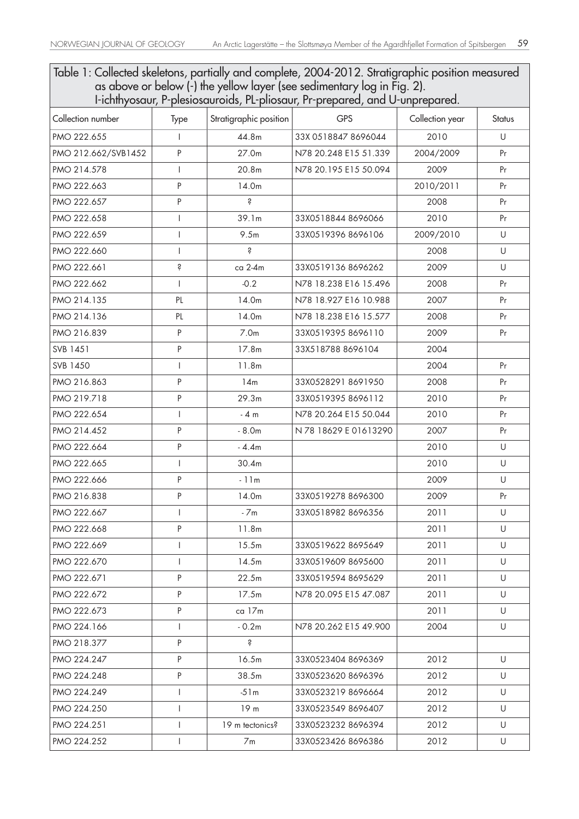Table 1: Collected skeletons, partially and complete, 2004-2012. Stratigraphic position measured as above or below (-) the yellow layer (see sedimentary log in Fig. 2).

| I-ichthyosaur, P-plesiosauroids, PL-pliosaur, Pr-prepared, and U-unprepared. |                          |                        |                       |                 |               |
|------------------------------------------------------------------------------|--------------------------|------------------------|-----------------------|-----------------|---------------|
| Collection number                                                            | Type                     | Stratigraphic position | <b>GPS</b>            | Collection year | <b>Status</b> |
| PMO 222.655                                                                  | I                        | 44.8m                  | 33X 0518847 8696044   | 2010            | U             |
| PMO 212.662/SVB1452                                                          | P                        | 27.0m                  | N78 20.248 E15 51.339 | 2004/2009       | Pr            |
| PMO 214.578                                                                  | $\overline{1}$           | 20.8m                  | N78 20.195 E15 50.094 | 2009            | Pr            |
| PMO 222.663                                                                  | P                        | 14.0m                  |                       | 2010/2011       | Pr            |
| PMO 222.657                                                                  | P                        | Ŝ                      |                       | 2008            | Pr            |
| PMO 222.658                                                                  | $\overline{\phantom{a}}$ | 39.1m                  | 33X05188448696066     | 2010            | Pr            |
| PMO 222.659                                                                  | $\overline{\phantom{a}}$ | 9.5m                   | 33X05193968696106     | 2009/2010       | U             |
| PMO 222.660                                                                  | $\overline{1}$           | S                      |                       | 2008            | U             |
| PMO 222.661                                                                  | Ŝ                        | ca 2-4m                | 33X0519136 8696262    | 2009            | U             |
| PMO 222.662                                                                  | $\overline{1}$           | $-0.2$                 | N78 18.238 E16 15.496 | 2008            | Pr            |
| PMO 214.135                                                                  | PL                       | 14.0m                  | N78 18.927 E16 10.988 | 2007            | Pr            |
| PMO 214.136                                                                  | PL                       | 14.0m                  | N78 18.238 E16 15.577 | 2008            | Pr            |
| PMO 216.839                                                                  | P                        | 7.0 <sub>m</sub>       | 33X05193958696110     | 2009            | Pr            |
| SVB 1451                                                                     | P                        | 17.8m                  | 33X518788 8696104     | 2004            |               |
| SVB 1450                                                                     | $\overline{1}$           | 11.8m                  |                       | 2004            | Pr            |
| PMO 216.863                                                                  | P                        | 14m                    | 33X05282918691950     | 2008            | Pr            |
| PMO 219.718                                                                  | P                        | 29.3m                  | 33X05193958696112     | 2010            | Pr            |
| PMO 222.654                                                                  | T                        | $-4m$                  | N78 20.264 E15 50.044 | 2010            | Pr            |
| PMO 214.452                                                                  | P                        | $-8.0m$                | N 78 18629 E 01613290 | 2007            | Pr            |
| PMO 222.664                                                                  | P                        | $-4.4m$                |                       | 2010            | U             |
| PMO 222.665                                                                  | $\mathbf{I}$             | 30.4m                  |                       | 2010            | U             |
| PMO 222.666                                                                  | P                        | $-11m$                 |                       | 2009            | U             |
| PMO 216.838                                                                  | P                        | 14.0m                  | 33X05192788696300     | 2009            | Pr            |
| PMO 222.667                                                                  | T                        | $-7m$                  | 33X05189828696356     | 2011            | U             |
| PMO 222.668                                                                  | Ρ                        | 11.8 <sub>m</sub>      |                       | 2011            | U             |
| PMO 222.669                                                                  | L                        | 15.5m                  | 33X05196228695649     | 2011            | U             |
| PMO 222.670                                                                  | $\mathbf{I}$             | 14.5m                  | 33X0519609 8695600    | 2011            | U             |
| PMO 222.671                                                                  | P                        | 22.5m                  | 33X05195948695629     | 2011            | U             |
| PMO 222.672                                                                  | P                        | 17.5m                  | N78 20.095 E15 47.087 | 2011            | U             |
| PMO 222.673                                                                  | P                        | ca 17m                 |                       | 2011            | U             |
| PMO 224.166                                                                  | $\mathbf{I}$             | $-0.2m$                | N78 20.262 E15 49.900 | 2004            | U             |
| PMO 218.377                                                                  | P                        | Ŝ                      |                       |                 |               |
| PMO 224.247                                                                  | P                        | 16.5m                  | 33X0523404 8696369    | 2012            | U             |
| PMO 224.248                                                                  | P                        | 38.5m                  | 33X0523620 8696396    | 2012            | U             |
| PMO 224.249                                                                  | L                        | $-51m$                 | 33X0523219 8696664    | 2012            | U             |
| PMO 224.250                                                                  | $\mathbf{I}$             | 19 <sub>m</sub>        | 33X0523549 8696407    | 2012            | U             |
| PMO 224.251                                                                  | $\mathbf{I}$             | 19 m tectonics?        | 33X05232328696394     | 2012            | U             |
| PMO 224.252                                                                  | $\mathbf{I}$             | 7m                     | 33X0523426 8696386    | 2012            | U             |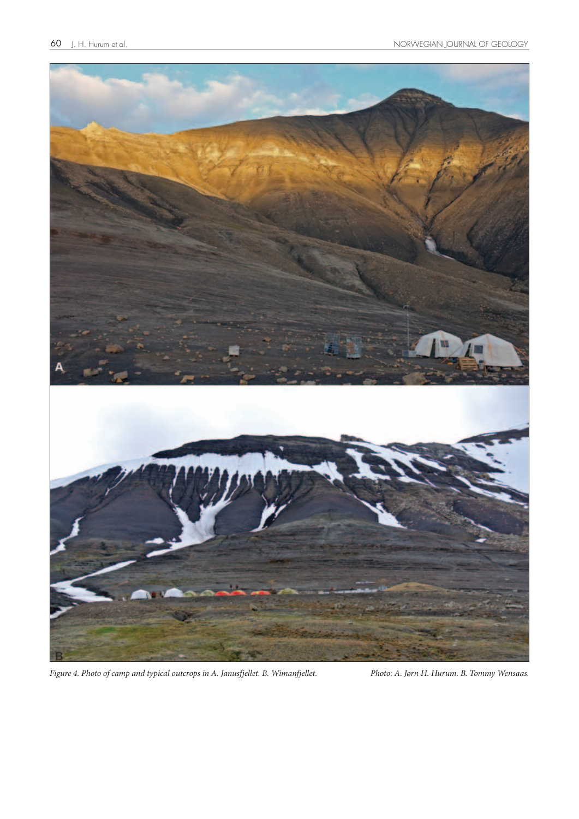

*Figure 4. Photo of camp and typical outcrops in A. Janusfjellet. B. Wimanfjellet. Photo: A. Jørn H. Hurum. B. Tommy Wensaas.*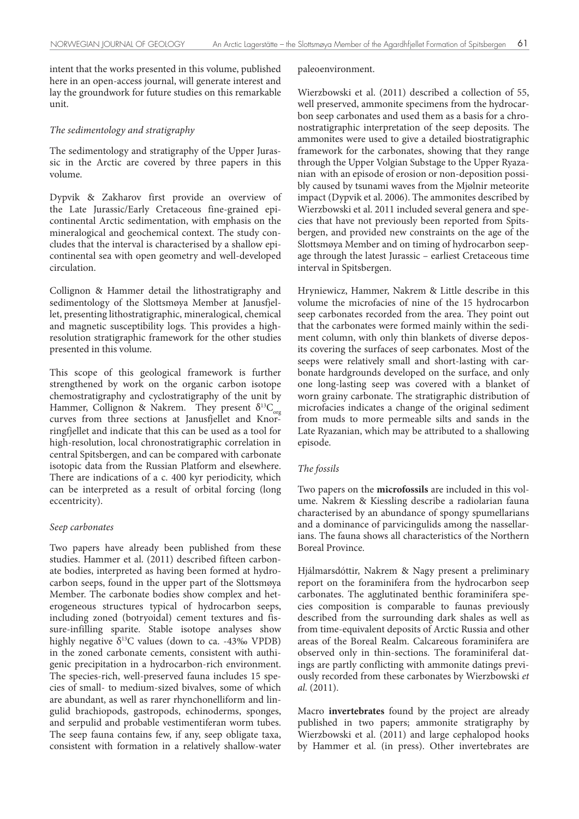intent that the works presented in this volume, published here in an open-access journal, will generate interest and lay the groundwork for future studies on this remarkable unit.

#### *The sedimentology and stratigraphy*

The sedimentology and stratigraphy of the Upper Jurassic in the Arctic are covered by three papers in this volume.

Dypvik & Zakharov first provide an overview of the Late Jurassic/Early Cretaceous fine-grained epicontinental Arctic sedimentation, with emphasis on the mineralogical and geochemical context. The study concludes that the interval is characterised by a shallow epicontinental sea with open geometry and well-developed circulation.

Collignon & Hammer detail the lithostratigraphy and sedimentology of the Slottsmøya Member at Janusfjellet, presenting lithostratigraphic, mineralogical, chemical and magnetic susceptibility logs. This provides a highresolution stratigraphic framework for the other studies presented in this volume.

This scope of this geological framework is further strengthened by work on the organic carbon isotope chemostratigraphy and cyclostratigraphy of the unit by Hammer, Collignon & Nakrem. They present  $\delta^{13}C_{org}$ curves from three sections at Janusfjellet and Knorringfjellet and indicate that this can be used as a tool for high-resolution, local chronostratigraphic correlation in central Spitsbergen, and can be compared with carbonate isotopic data from the Russian Platform and elsewhere. There are indications of a c. 400 kyr periodicity, which can be interpreted as a result of orbital forcing (long eccentricity).

#### *Seep carbonates*

Two papers have already been published from these studies. Hammer et al. (2011) described fifteen carbonate bodies, interpreted as having been formed at hydrocarbon seeps, found in the upper part of the Slottsmøya Member. The carbonate bodies show complex and heterogeneous structures typical of hydrocarbon seeps, including zoned (botryoidal) cement textures and fissure-infilling sparite. Stable isotope analyses show highly negative  $\delta^{13}$ C values (down to ca. -43‰ VPDB) in the zoned carbonate cements, consistent with authigenic precipitation in a hydrocarbon-rich environment. The species-rich, well-preserved fauna includes 15 species of small- to medium-sized bivalves, some of which are abundant, as well as rarer rhynchonelliform and lingulid brachiopods, gastropods, echinoderms, sponges, and serpulid and probable vestimentiferan worm tubes. The seep fauna contains few, if any, seep obligate taxa, consistent with formation in a relatively shallow-water

#### paleoenvironment.

Wierzbowski et al. (2011) described a collection of 55, well preserved, ammonite specimens from the hydrocarbon seep carbonates and used them as a basis for a chronostratigraphic interpretation of the seep deposits. The ammonites were used to give a detailed biostratigraphic framework for the carbonates, showing that they range through the Upper Volgian Substage to the Upper Ryazanian with an episode of erosion or non-deposition possibly caused by tsunami waves from the Mjølnir meteorite impact (Dypvik et al. 2006). The ammonites described by Wierzbowski et al. 2011 included several genera and species that have not previously been reported from Spitsbergen, and provided new constraints on the age of the Slottsmøya Member and on timing of hydrocarbon seepage through the latest Jurassic – earliest Cretaceous time interval in Spitsbergen.

Hryniewicz, Hammer, Nakrem & Little describe in this volume the microfacies of nine of the 15 hydrocarbon seep carbonates recorded from the area. They point out that the carbonates were formed mainly within the sediment column, with only thin blankets of diverse deposits covering the surfaces of seep carbonates. Most of the seeps were relatively small and short-lasting with carbonate hardgrounds developed on the surface, and only one long-lasting seep was covered with a blanket of worn grainy carbonate. The stratigraphic distribution of microfacies indicates a change of the original sediment from muds to more permeable silts and sands in the Late Ryazanian, which may be attributed to a shallowing episode.

#### *The fossils*

Two papers on the **microfossils** are included in this volume. Nakrem & Kiessling describe a radiolarian fauna characterised by an abundance of spongy spumellarians and a dominance of parvicingulids among the nassellarians. The fauna shows all characteristics of the Northern Boreal Province.

Hjálmarsdóttir, Nakrem & Nagy present a preliminary report on the foraminifera from the hydrocarbon seep carbonates. The agglutinated benthic foraminifera species composition is comparable to faunas previously described from the surrounding dark shales as well as from time-equivalent deposits of Arctic Russia and other areas of the Boreal Realm. Calcareous foraminifera are observed only in thin-sections. The foraminiferal datings are partly conflicting with ammonite datings previously recorded from these carbonates by Wierzbowski *et al.* (2011).

Macro **invertebrates** found by the project are already published in two papers; ammonite stratigraphy by Wierzbowski et al. (2011) and large cephalopod hooks by Hammer et al. (in press). Other invertebrates are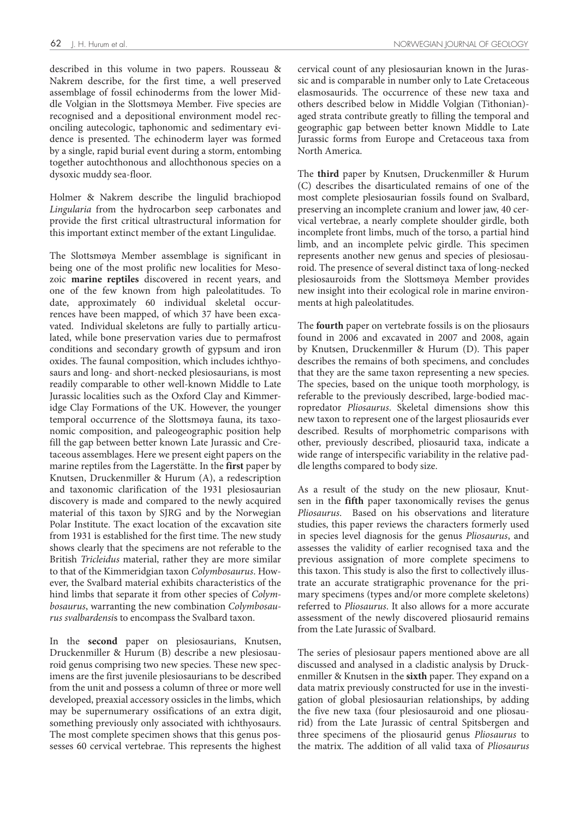described in this volume in two papers. Rousseau & Nakrem describe, for the first time, a well preserved assemblage of fossil echinoderms from the lower Middle Volgian in the Slottsmøya Member. Five species are recognised and a depositional environment model reconciling autecologic, taphonomic and sedimentary evidence is presented. The echinoderm layer was formed by a single, rapid burial event during a storm, entombing together autochthonous and allochthonous species on a dysoxic muddy sea-floor.

Holmer & Nakrem describe the lingulid brachiopod *Lingularia* from the hydrocarbon seep carbonates and provide the first critical ultrastructural information for this important extinct member of the extant Lingulidae.

The Slottsmøya Member assemblage is significant in being one of the most prolific new localities for Mesozoic **marine reptiles** discovered in recent years, and one of the few known from high paleolatitudes. To date, approximately 60 individual skeletal occurrences have been mapped, of which 37 have been excavated. Individual skeletons are fully to partially articulated, while bone preservation varies due to permafrost conditions and secondary growth of gypsum and iron oxides. The faunal composition, which includes ichthyosaurs and long- and short-necked plesiosaurians, is most readily comparable to other well-known Middle to Late Jurassic localities such as the Oxford Clay and Kimmeridge Clay Formations of the UK. However, the younger temporal occurrence of the Slottsmøya fauna, its taxonomic composition, and paleogeographic position help fill the gap between better known Late Jurassic and Cretaceous assemblages. Here we present eight papers on the marine reptiles from the Lagerstätte. In the **first** paper by Knutsen, Druckenmiller & Hurum (A), a redescription and taxonomic clarification of the 1931 plesiosaurian discovery is made and compared to the newly acquired material of this taxon by SJRG and by the Norwegian Polar Institute. The exact location of the excavation site from 1931 is established for the first time. The new study shows clearly that the specimens are not referable to the British *Tricleidus* material, rather they are more similar to that of the Kimmeridgian taxon *Colymbosaurus*. However, the Svalbard material exhibits characteristics of the hind limbs that separate it from other species of *Colymbosaurus*, warranting the new combination *Colymbosaurus svalbardensi*s to encompass the Svalbard taxon.

In the **second** paper on plesiosaurians, Knutsen, Druckenmiller & Hurum (B) describe a new plesiosauroid genus comprising two new species. These new specimens are the first juvenile plesiosaurians to be described from the unit and possess a column of three or more well developed, preaxial accessory ossicles in the limbs, which may be supernumerary ossifications of an extra digit, something previously only associated with ichthyosaurs. The most complete specimen shows that this genus possesses 60 cervical vertebrae. This represents the highest

cervical count of any plesiosaurian known in the Jurassic and is comparable in number only to Late Cretaceous elasmosaurids. The occurrence of these new taxa and others described below in Middle Volgian (Tithonian) aged strata contribute greatly to filling the temporal and geographic gap between better known Middle to Late Jurassic forms from Europe and Cretaceous taxa from North America.

The **third** paper by Knutsen, Druckenmiller & Hurum (C) describes the disarticulated remains of one of the most complete plesiosaurian fossils found on Svalbard, preserving an incomplete cranium and lower jaw, 40 cervical vertebrae, a nearly complete shoulder girdle, both incomplete front limbs, much of the torso, a partial hind limb, and an incomplete pelvic girdle. This specimen represents another new genus and species of plesiosauroid. The presence of several distinct taxa of long-necked plesiosauroids from the Slottsmøya Member provides new insight into their ecological role in marine environments at high paleolatitudes.

The **fourth** paper on vertebrate fossils is on the pliosaurs found in 2006 and excavated in 2007 and 2008, again by Knutsen, Druckenmiller & Hurum (D). This paper describes the remains of both specimens, and concludes that they are the same taxon representing a new species. The species, based on the unique tooth morphology, is referable to the previously described, large-bodied macropredator *Pliosaurus*. Skeletal dimensions show this new taxon to represent one of the largest pliosaurids ever described. Results of morphometric comparisons with other, previously described, pliosaurid taxa, indicate a wide range of interspecific variability in the relative paddle lengths compared to body size.

As a result of the study on the new pliosaur, Knutsen in the **fifth** paper taxonomically revises the genus *Pliosaurus*. Based on his observations and literature studies, this paper reviews the characters formerly used in species level diagnosis for the genus *Pliosaurus*, and assesses the validity of earlier recognised taxa and the previous assignation of more complete specimens to this taxon. This study is also the first to collectively illustrate an accurate stratigraphic provenance for the primary specimens (types and/or more complete skeletons) referred to *Pliosaurus*. It also allows for a more accurate assessment of the newly discovered pliosaurid remains from the Late Jurassic of Svalbard.

The series of plesiosaur papers mentioned above are all discussed and analysed in a cladistic analysis by Druckenmiller & Knutsen in the **sixth** paper. They expand on a data matrix previously constructed for use in the investigation of global plesiosaurian relationships, by adding the five new taxa (four plesiosauroid and one pliosaurid) from the Late Jurassic of central Spitsbergen and three specimens of the pliosaurid genus *Pliosaurus* to the matrix. The addition of all valid taxa of *Pliosaurus*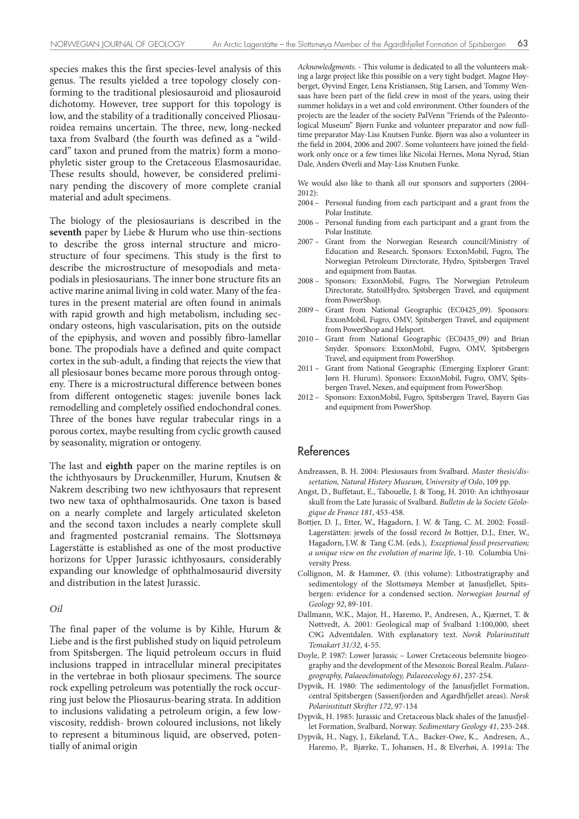species makes this the first species-level analysis of this genus. The results yielded a tree topology closely conforming to the traditional plesiosauroid and pliosauroid dichotomy. However, tree support for this topology is low, and the stability of a traditionally conceived Pliosauroidea remains uncertain. The three, new, long-necked taxa from Svalbard (the fourth was defined as a "wildcard" taxon and pruned from the matrix) form a monophyletic sister group to the Cretaceous Elasmosauridae. These results should, however, be considered preliminary pending the discovery of more complete cranial material and adult specimens.

The biology of the plesiosaurians is described in the **seventh** paper by Liebe & Hurum who use thin-sections to describe the gross internal structure and microstructure of four specimens. This study is the first to describe the microstructure of mesopodials and metapodials in plesiosaurians. The inner bone structure fits an active marine animal living in cold water. Many of the features in the present material are often found in animals with rapid growth and high metabolism, including secondary osteons, high vascularisation, pits on the outside of the epiphysis, and woven and possibly fibro-lamellar bone. The propodials have a defined and quite compact cortex in the sub-adult, a finding that rejects the view that all plesiosaur bones became more porous through ontogeny. There is a microstructural difference between bones from different ontogenetic stages: juvenile bones lack remodelling and completely ossified endochondral cones. Three of the bones have regular trabecular rings in a porous cortex, maybe resulting from cyclic growth caused by seasonality, migration or ontogeny.

The last and **eighth** paper on the marine reptiles is on the ichthyosaurs by Druckenmiller, Hurum, Knutsen & Nakrem describing two new ichthyosaurs that represent two new taxa of ophthalmosaurids. One taxon is based on a nearly complete and largely articulated skeleton and the second taxon includes a nearly complete skull and fragmented postcranial remains. The Slottsmøya Lagerstätte is established as one of the most productive horizons for Upper Jurassic ichthyosaurs, considerably expanding our knowledge of ophthalmosaurid diversity and distribution in the latest Jurassic.

#### *Oil*

The final paper of the volume is by Kihle, Hurum & Liebe and is the first published study on liquid petroleum from Spitsbergen. The liquid petroleum occurs in fluid inclusions trapped in intracellular mineral precipitates in the vertebrae in both pliosaur specimens. The source rock expelling petroleum was potentially the rock occurring just below the Pliosaurus-bearing strata. In addition to inclusions validating a petroleum origin, a few lowviscosity, reddish- brown coloured inclusions, not likely to represent a bituminous liquid, are observed, potentially of animal origin

*Acknowledgments*. - This volume is dedicated to all the volunteers making a large project like this possible on a very tight budget. Magne Høyberget, Øyvind Enger, Lena Kristiansen, Stig Larsen, and Tommy Wensaas have been part of the field crew in most of the years, using their summer holidays in a wet and cold environment. Other founders of the projects are the leader of the society PalVenn "Friends of the Paleontological Museum" Bjørn Funke and volunteer preparator and now fulltime preparator May-Liss Knutsen Funke. Bjørn was also a volunteer in the field in 2004, 2006 and 2007. Some volunteers have joined the fieldwork only once or a few times like Nicolai Hernes, Mona Nyrud, Stian Dale, Anders Øverli and May-Liss Knutsen Funke.

We would also like to thank all our sponsors and supporters (2004- 2012):

- 2004 Personal funding from each participant and a grant from the Polar Institute.
- 2006 Personal funding from each participant and a grant from the Polar Institute.
- 2007 Grant from the Norwegian Research council/Ministry of Education and Research. Sponsors: ExxonMobil, Fugro, The Norwegian Petroleum Directorate, Hydro, Spitsbergen Travel and equipment from Bautas.
- 2008 Sponsors: ExxonMobil, Fugro, The Norwegian Petroleum Directorate, StatoilHydro, Spitsbergen Travel, and equipment from PowerShop.
- 2009 Grant from National Geographic (EC0425\_09). Sponsors: ExxonMobil, Fugro, OMV, Spitsbergen Travel, and equipment from PowerShop and Helsport.
- 2010 Grant from National Geographic (EC0435\_09) and Brian Snyder. Sponsors: ExxonMobil, Fugro, OMV, Spitsbergen Travel, and equipment from PowerShop.
- 2011 Grant from National Geographic (Emerging Explorer Grant: Jørn H. Hurum). Sponsors: ExxonMobil, Fugro, OMV, Spitsbergen Travel, Nexen, and equipment from PowerShop.
- 2012 Sponsors: ExxonMobil, Fugro, Spitsbergen Travel, Bayern Gas and equipment from PowerShop.

#### References

- Andreassen, B. H. 2004: Plesiosaurs from Svalbard. *Master thesis/dissertation, Natural History Museum, University of Oslo*, 109 pp.
- Angst, D., Buffetaut, E., Tabouelle, J. & Tong, H. 2010: An ichthyosaur skull from the Late Jurassic of Svalbard. *Bulletin de la Societe Géologique de France 181*, 453-458.
- Bottjer, D. J., Etter, W., Hagadorn, J. W. & Tang, C. M. 2002: Fossil-Lagerstätten: jewels of the fossil record *In* Bottjer, D.J., Etter, W., Hagadorn, J.W. & Tang C.M. (eds.), *Exceptional fossil preservation; a unique view on the evolution of marine life*, 1-10. Columbia University Press.
- Collignon, M. & Hammer, Ø. (this volume): Lithostratigraphy and sedimentology of the Slottsmøya Member at Janusfjellet, Spitsbergen: evidence for a condensed section. *Norwegian Journal of Geology 92*, 89-101.
- Dallmann, W.K., Major, H., Haremo, P., Andresen, A., Kjærnet, T. & Nøttvedt, A. 2001: Geological map of Svalbard 1:100,000, sheet C9G Adventdalen. With explanatory text. *Norsk Polarinstitutt Temakart 31/32*, 4-55.
- Doyle, P. 1987: Lower Jurassic Lower Cretaceous belemnite biogeography and the development of the Mesozoic Boreal Realm. *Palaeogeography, Palaeoclimatology, Palaeoecology 61*, 237-254.
- Dypvik, H. 1980: The sedimentology of the Janusfjellet Formation, central Spitsbergen (Sassenfjorden and Agardhfjellet areas). *Norsk Polarinstitutt Skrifter 172*, 97-134
- Dypvik, H. 1985: Jurassic and Cretaceous black shales of the Janusfjellet Formation, Svalbard, Norway. *Sedimentary Geology 41*, 235-248.
- Dypvik, H., Nagy, J., Eikeland, T.A., Backer-Owe, K., Andresen, A., Haremo, P., Bjærke, T., Johansen, H., & Elverhøi, A. 1991a: The